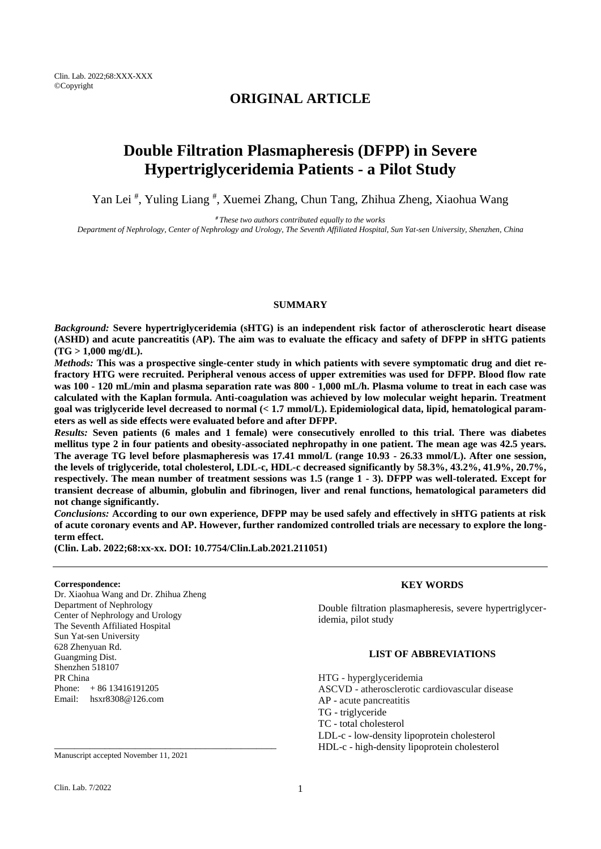Clin. Lab. 2022;68:XXX-XXX ©Copyright

## **ORIGINAL ARTICLE**

# **Double Filtration Plasmapheresis (DFPP) in Severe Hypertriglyceridemia Patients - a Pilot Study**

Yan Lei<sup>#</sup>, Yuling Liang<sup>#</sup>, Xuemei Zhang, Chun Tang, Zhihua Zheng, Xiaohua Wang

*# These two authors contributed equally to the works Department of Nephrology, Center of Nephrology and Urology, The Seventh Affiliated Hospital, Sun Yat-sen University, Shenzhen, China*

#### **SUMMARY**

*Background:* **Severe hypertriglyceridemia (sHTG) is an independent risk factor of atherosclerotic heart disease (ASHD) and acute pancreatitis (AP). The aim was to evaluate the efficacy and safety of DFPP in sHTG patients (TG > 1,000 mg/dL).**

*Methods:* **This was a prospective single-center study in which patients with severe symptomatic drug and diet refractory HTG were recruited. Peripheral venous access of upper extremities was used for DFPP. Blood flow rate was 100 - 120 mL/min and plasma separation rate was 800 - 1,000 mL/h. Plasma volume to treat in each case was calculated with the Kaplan formula. Anti-coagulation was achieved by low molecular weight heparin. Treatment goal was triglyceride level decreased to normal (< 1.7 mmol/L). Epidemiological data, lipid, hematological parameters as well as side effects were evaluated before and after DFPP.** 

*Results:* **Seven patients (6 males and 1 female) were consecutively enrolled to this trial. There was diabetes mellitus type 2 in four patients and obesity-associated nephropathy in one patient. The mean age was 42.5 years. The average TG level before plasmapheresis was 17.41 mmol/L (range 10.93 - 26.33 mmol/L). After one session, the levels of triglyceride, total cholesterol, LDL-c, HDL-c decreased significantly by 58.3%, 43.2%, 41.9%, 20.7%, respectively. The mean number of treatment sessions was 1.5 (range 1 - 3). DFPP was well-tolerated. Except for transient decrease of albumin, globulin and fibrinogen, liver and renal functions, hematological parameters did not change significantly.** 

*Conclusions:* **According to our own experience, DFPP may be used safely and effectively in sHTG patients at risk of acute coronary events and AP. However, further randomized controlled trials are necessary to explore the longterm effect.**

**(Clin. Lab. 2022;68:xx-xx. DOI: 10.7754/Clin.Lab.2021.211051)**

#### **Correspondence:**

Dr. Xiaohua Wang and Dr. Zhihua Zheng Department of Nephrology Center of Nephrology and Urology The Seventh Affiliated Hospital Sun Yat-sen University 628 Zhenyuan Rd. Guangming Dist. Shenzhen 518107 PR China Phone: + 86 13416191205 Email: hsxr8308@126.com

Manuscript accepted November 11, 2021

\_\_\_\_\_\_\_\_\_\_\_\_\_\_\_\_\_\_\_\_\_\_\_\_\_\_\_\_\_\_\_\_\_\_\_\_\_\_\_\_\_\_\_\_

## **KEY WORDS**

Double filtration plasmapheresis, severe hypertriglyceridemia, pilot study

## **LIST OF ABBREVIATIONS**

HTG - hyperglyceridemia ASCVD - atherosclerotic cardiovascular disease AP - acute pancreatitis TG - triglyceride TC - total cholesterol LDL-c - low-density lipoprotein cholesterol HDL-c - high-density lipoprotein cholesterol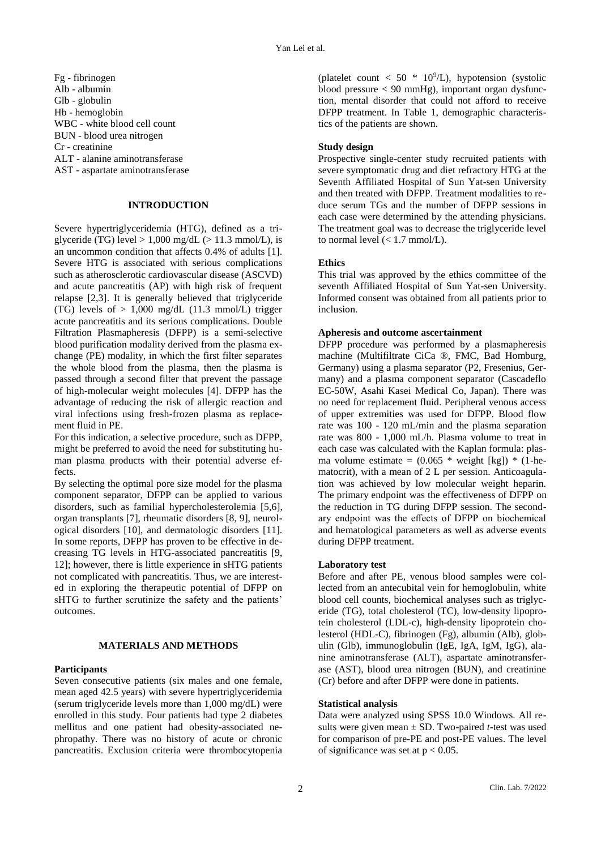Fg - fibrinogen Alb - albumin Glb - globulin Hb - hemoglobin WBC - white blood cell count BUN - blood urea nitrogen Cr - creatinine ALT - alanine aminotransferase AST - aspartate aminotransferase

## **INTRODUCTION**

Severe hypertriglyceridemia (HTG), defined as a triglyceride (TG) level  $> 1,000$  mg/dL ( $> 11.3$  mmol/L), is an uncommon condition that affects 0.4% of adults [1]. Severe HTG is associated with serious complications such as atherosclerotic cardiovascular disease (ASCVD) and acute pancreatitis (AP) with high risk of frequent relapse [2,3]. It is generally believed that triglyceride (TG) levels of  $> 1,000$  mg/dL (11.3 mmol/L) trigger acute pancreatitis and its serious complications. Double Filtration Plasmapheresis (DFPP) is a semi-selective blood purification modality derived from the plasma exchange (PE) modality, in which the first filter separates the whole blood from the plasma, then the plasma is passed through a second filter that prevent the passage of high-molecular weight molecules [4]. DFPP has the advantage of reducing the risk of allergic reaction and viral infections using fresh-frozen plasma as replacement fluid in PE.

For this indication, a selective procedure, such as DFPP, might be preferred to avoid the need for substituting human plasma products with their potential adverse effects.

By selecting the optimal pore size model for the plasma component separator, DFPP can be applied to various disorders, such as familial hypercholesterolemia [5,6], organ transplants [7], rheumatic disorders [8, 9], neurological disorders [10], and dermatologic disorders [11]. In some reports, DFPP has proven to be effective in decreasing TG levels in HTG-associated pancreatitis [9, 12]; however, there is little experience in sHTG patients not complicated with pancreatitis. Thus, we are interested in exploring the therapeutic potential of DFPP on sHTG to further scrutinize the safety and the patients' outcomes.

## **MATERIALS AND METHODS**

## **Participants**

Seven consecutive patients (six males and one female, mean aged 42.5 years) with severe hypertriglyceridemia (serum triglyceride levels more than 1,000 mg/dL) were enrolled in this study. Four patients had type 2 diabetes mellitus and one patient had obesity-associated nephropathy. There was no history of acute or chronic pancreatitis. Exclusion criteria were thrombocytopenia

(platelet count < 50  $*$  10<sup>9</sup>/L), hypotension (systolic blood pressure < 90 mmHg), important organ dysfunction, mental disorder that could not afford to receive DFPP treatment. In Table 1, demographic characteristics of the patients are shown.

## **Study design**

Prospective single-center study recruited patients with severe symptomatic drug and diet refractory HTG at the Seventh Affiliated Hospital of Sun Yat-sen University and then treated with DFPP. Treatment modalities to reduce serum TGs and the number of DFPP sessions in each case were determined by the attending physicians. The treatment goal was to decrease the triglyceride level to normal level  $(< 1.7$  mmol/L).

## **Ethics**

This trial was approved by the ethics committee of the seventh Affiliated Hospital of Sun Yat-sen University. Informed consent was obtained from all patients prior to inclusion.

## **Apheresis and outcome ascertainment**

DFPP procedure was performed by a plasmapheresis machine (Multifiltrate CiCa ®, FMC, Bad Homburg, Germany) using a plasma separator (P2, Fresenius, Germany) and a plasma component separator (Cascadeflo EC-50W, Asahi Kasei Medical Co, Japan). There was no need for replacement fluid. Peripheral venous access of upper extremities was used for DFPP. Blood flow rate was 100 - 120 mL/min and the plasma separation rate was 800 - 1,000 mL/h. Plasma volume to treat in each case was calculated with the Kaplan formula: plasma volume estimate =  $(0.065 * weight [kg]) * (1 - he$ matocrit), with a mean of 2 L per session. Anticoagulation was achieved by low molecular weight heparin. The primary endpoint was the effectiveness of DFPP on the reduction in TG during DFPP session. The secondary endpoint was the effects of DFPP on biochemical and hematological parameters as well as adverse events during DFPP treatment.

## **Laboratory test**

Before and after PE, venous blood samples were collected from an antecubital vein for hemoglobulin, white blood cell counts, biochemical analyses such as triglyceride (TG), total cholesterol (TC), low-density lipoprotein cholesterol (LDL-c), high-density lipoprotein cholesterol (HDL-C), fibrinogen (Fg), albumin (Alb), globulin (Glb), immunoglobulin (IgE, IgA, IgM, IgG), alanine aminotransferase (ALT), aspartate aminotransferase (AST), blood urea nitrogen (BUN), and creatinine (Cr) before and after DFPP were done in patients.

## **Statistical analysis**

Data were analyzed using SPSS 10.0 Windows. All results were given mean ± SD. Two-paired *t-*test was used for comparison of pre-PE and post-PE values. The level of significance was set at  $p < 0.05$ .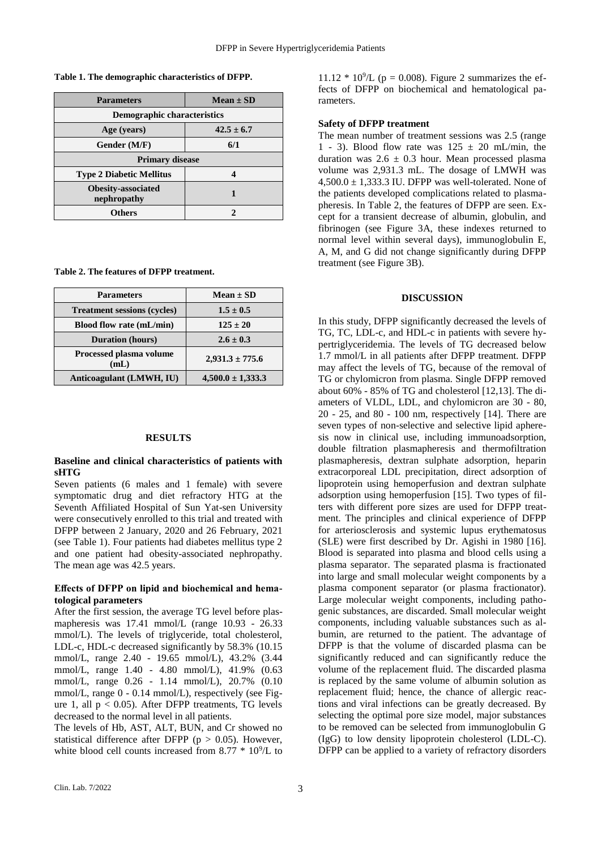**Table 1. The demographic characteristics of DFPP.**

| <b>Parameters</b>                        | $Mean \pm SD$  |
|------------------------------------------|----------------|
| Demographic characteristics              |                |
| Age (years)                              | $42.5 \pm 6.7$ |
| Gender (M/F)                             | 6/1            |
| <b>Primary disease</b>                   |                |
| <b>Type 2 Diabetic Mellitus</b>          |                |
| <b>Obesity-associated</b><br>nephropathy |                |
| <b>Others</b>                            |                |

**Table 2. The features of DFPP treatment.**

| <b>Parameters</b>                  | $Mean \pm SD$         |
|------------------------------------|-----------------------|
| <b>Treatment sessions (cycles)</b> | $1.5 \pm 0.5$         |
| Blood flow rate (mL/min)           | $125 \pm 20$          |
| <b>Duration</b> (hours)            | $2.6 \pm 0.3$         |
| Processed plasma volume<br>(mL)    | $2,931.3 \pm 775.6$   |
| Anticoagulant (LMWH, IU)           | $4,500.0 \pm 1,333.3$ |

#### **RESULTS**

#### **Baseline and clinical characteristics of patients with sHTG**

Seven patients (6 males and 1 female) with severe symptomatic drug and diet refractory HTG at the Seventh Affiliated Hospital of Sun Yat-sen University were consecutively enrolled to this trial and treated with DFPP between 2 January, 2020 and 26 February, 2021 (see Table 1). Four patients had diabetes mellitus type 2 and one patient had obesity-associated nephropathy. The mean age was 42.5 years.

## **Effects of DFPP on lipid and biochemical and hematological parameters**

After the first session, the average TG level before plasmapheresis was 17.41 mmol/L (range 10.93 - 26.33 mmol/L). The levels of triglyceride, total cholesterol, LDL-c, HDL-c decreased significantly by 58.3% (10.15 mmol/L, range 2.40 - 19.65 mmol/L), 43.2% (3.44 mmol/L, range 1.40 - 4.80 mmol/L), 41.9% (0.63 mmol/L, range 0.26 - 1.14 mmol/L), 20.7% (0.10 mmol/L, range 0 - 0.14 mmol/L), respectively (see Figure 1, all  $p < 0.05$ ). After DFPP treatments, TG levels decreased to the normal level in all patients.

The levels of Hb, AST, ALT, BUN, and Cr showed no statistical difference after DFPP ( $p > 0.05$ ). However, white blood cell counts increased from  $8.77 * 10^9$ /L to

11.12  $*$  10<sup>9</sup>/L (p = 0.008). Figure 2 summarizes the effects of DFPP on biochemical and hematological parameters.

## **Safety of DFPP treatment**

The mean number of treatment sessions was 2.5 (range 1 - 3). Blood flow rate was  $125 \pm 20$  mL/min, the duration was  $2.6 \pm 0.3$  hour. Mean processed plasma volume was 2,931.3 mL. The dosage of LMWH was  $4,500.0 \pm 1,333.3$  IU. DFPP was well-tolerated. None of the patients developed complications related to plasmapheresis. In Table 2, the features of DFPP are seen. Except for a transient decrease of albumin, globulin, and fibrinogen (see Figure 3A, these indexes returned to normal level within several days), immunoglobulin E, A, M, and G did not change significantly during DFPP treatment (see Figure 3B).

## **DISCUSSION**

In this study, DFPP significantly decreased the levels of TG, TC, LDL-c, and HDL-c in patients with severe hypertriglyceridemia. The levels of TG decreased below 1.7 mmol/L in all patients after DFPP treatment. DFPP may affect the levels of TG, because of the removal of TG or chylomicron from plasma. Single DFPP removed about 60% - 85% of TG and cholesterol [12,13]. The diameters of VLDL, LDL, and chylomicron are 30 - 80, 20 - 25, and 80 - 100 nm, respectively [14]. There are seven types of non-selective and selective lipid apheresis now in clinical use, including immunoadsorption, double filtration plasmapheresis and thermofiltration plasmapheresis, dextran sulphate adsorption, heparin extracorporeal LDL precipitation, direct adsorption of lipoprotein using hemoperfusion and dextran sulphate adsorption using hemoperfusion [15]. Two types of filters with different pore sizes are used for DFPP treatment. The principles and clinical experience of DFPP for arteriosclerosis and systemic lupus erythematosus (SLE) were first described by Dr. Agishi in 1980 [16]. Blood is separated into plasma and blood cells using a plasma separator. The separated plasma is fractionated into large and small molecular weight components by a plasma component separator (or plasma fractionator). Large molecular weight components, including pathogenic substances, are discarded. Small molecular weight components, including valuable substances such as albumin, are returned to the patient. The advantage of DFPP is that the volume of discarded plasma can be significantly reduced and can significantly reduce the volume of the replacement fluid. The discarded plasma is replaced by the same volume of albumin solution as replacement fluid; hence, the chance of allergic reactions and viral infections can be greatly decreased. By selecting the optimal pore size model, major substances to be removed can be selected from immunoglobulin G (IgG) to low density lipoprotein cholesterol (LDL-C). DFPP can be applied to a variety of refractory disorders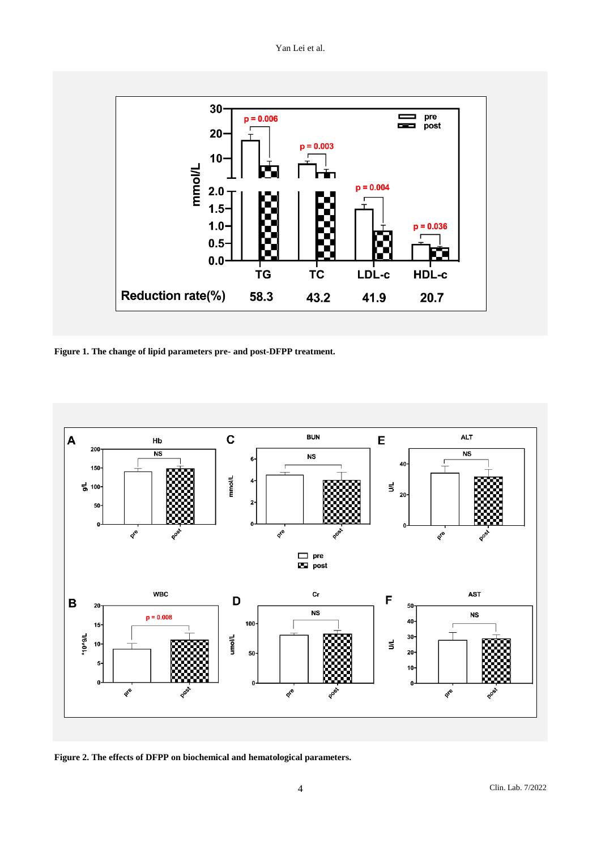Yan Lei et al.



**Figure 1. The change of lipid parameters pre- and post-DFPP treatment.**



**Figure 2. The effects of DFPP on biochemical and hematological parameters.**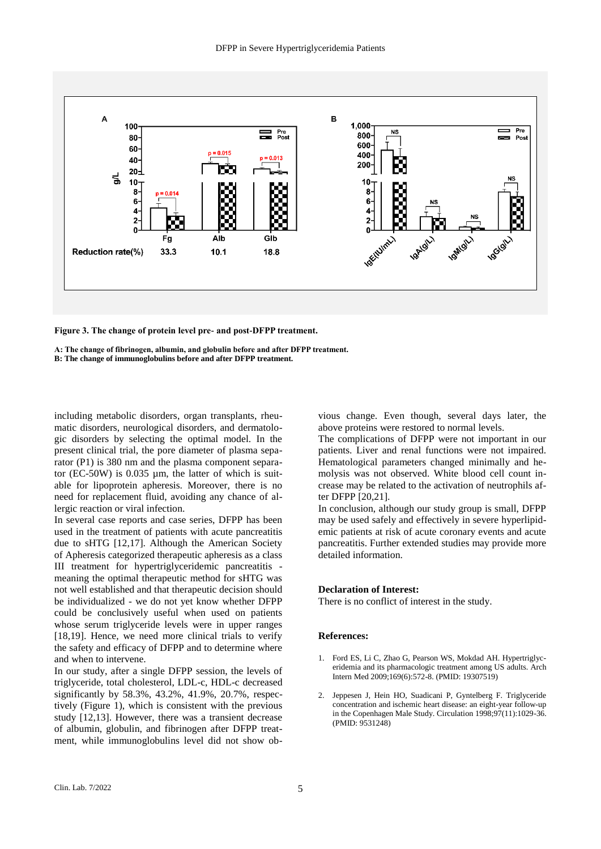

**Figure 3. The change of protein level pre- and post-DFPP treatment.**

**A: The change of fibrinogen, albumin, and globulin before and after DFPP treatment. B: The change of immunoglobulins before and after DFPP treatment.**

including metabolic disorders, organ transplants, rheumatic disorders, neurological disorders, and dermatologic disorders by selecting the optimal model. In the present clinical trial, the pore diameter of plasma separator (P1) is 380 nm and the plasma component separator (EC-50W) is  $0.035 \mu m$ , the latter of which is suitable for lipoprotein apheresis. Moreover, there is no need for replacement fluid, avoiding any chance of allergic reaction or viral infection.

In several case reports and case series, DFPP has been used in the treatment of patients with acute pancreatitis due to sHTG [12,17]. Although the American Society of Apheresis categorized therapeutic apheresis as a class III treatment for hypertriglyceridemic pancreatitis meaning the optimal therapeutic method for sHTG was not well established and that therapeutic decision should be individualized - we do not yet know whether DFPP could be conclusively useful when used on patients whose serum triglyceride levels were in upper ranges [18,19]. Hence, we need more clinical trials to verify the safety and efficacy of DFPP and to determine where and when to intervene.

In our study, after a single DFPP session, the levels of triglyceride, total cholesterol, LDL-c, HDL-c decreased significantly by 58.3%, 43.2%, 41.9%, 20.7%, respectively (Figure 1), which is consistent with the previous study [12,13]. However, there was a transient decrease of albumin, globulin, and fibrinogen after DFPP treatment, while immunoglobulins level did not show obvious change. Even though, several days later, the above proteins were restored to normal levels.

The complications of DFPP were not important in our patients. Liver and renal functions were not impaired. Hematological parameters changed minimally and hemolysis was not observed. White blood cell count increase may be related to the activation of neutrophils after DFPP [20,21].

In conclusion, although our study group is small, DFPP may be used safely and effectively in severe hyperlipidemic patients at risk of acute coronary events and acute pancreatitis. Further extended studies may provide more detailed information.

## **Declaration of Interest:**

There is no conflict of interest in the study.

## **References:**

- 1. Ford ES, Li C, Zhao G, Pearson WS, Mokdad AH. Hypertriglyceridemia and its pharmacologic treatment among US adults. Arch Intern Med 2009;169(6):572-8. (PMID: 19307519)
- 2. Jeppesen J, Hein HO, Suadicani P, Gyntelberg F. Triglyceride concentration and ischemic heart disease: an eight-year follow-up in the Copenhagen Male Study. Circulation 1998;97(11):1029-36. (PMID: 9531248)